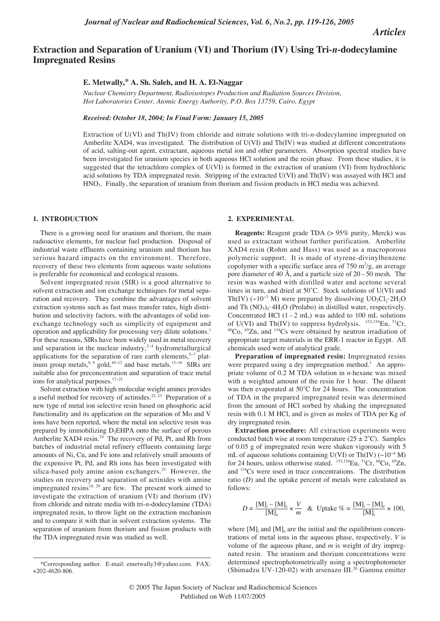*Articles*

# **Extraction and Separation of Uranium (VI) and Thorium (IV) Using Tri-***n***-dodecylamine Impregnated Resins**

## **E. Metwally,\* A. Sh. Saleh, and H. A. El-Naggar**

*Nuclear Chemistry Department, Radioisotopes Production and Radiation Sources Division, Hot Laboratories Center, Atomic Energy Authority, P.O. Box 13759, Cairo, Egypt*

*Received: October 18, 2004; In Final Form: January 15, 2005*

Extraction of U(VI) and Th(IV) from chloride and nitrate solutions with tri-*n*-dodecylamine impregnated on Amberlite XAD4, was investigated. The distribution of U(VI) and Th(IV) was studied at different concentrations of acid, salting-out agent, extractant, aqueous metal ion and other parameters. Absorption spectral studies have been investigated for uranium species in both aqueous HCl solution and the resin phase. From these studies, it is suggested that the tetrachloro complex of U(VI) is formed in the extraction of uranium (VI) from hydrochloric acid solutions by TDA impregnated resin. Stripping of the extracted U(VI) and Th(IV) was assayed with HCl and HNO3. Finally, the separation of uranium from thorium and fission products in HCl media was achieved.

### **1. INTRODUCTION**

There is a growing need for uranium and thorium, the main radioactive elements, for nuclear fuel production. Disposal of industrial waste effluents containing uranium and thorium has serious hazard impacts on the environment. Therefore, recovery of these two elements from aqueous waste solutions is preferable for economical and ecological reasons.

Solvent impregnated resin (SIR) is a good alternative to solvent extraction and ion exchange techniques for metal separation and recovery. They combine the advantages of solvent extraction systems such as fast mass transfer rates, high distribution and selectivity factors, with the advantages of solid ionexchange technology such as simplicity of equipment and operation and applicability for processing very dilute solutions.1 For these reasons, SIRs have been widely used in metal recovery and separation in the nuclear industry,<sup>2−4</sup> hydrometallurgical applications for the separation of rare earth elements,<sup>5−7</sup> platinum group metals,<sup>8, 9</sup> gold,<sup>10−12</sup> and base metals.<sup>13−16</sup> SIRs are suitable also for preconcentration and separation of trace metal ions for analytical purposes.17−<sup>21</sup>

Solvent extraction with high molecular weight amines provides a useful method for recovery of actinides.<sup>22, 23</sup> Preparation of a new type of metal ion selective resin based on phosphoric acid functionality and its application on the separation of Mo and V ions have been reported, where the metal ion selective resin was prepared by immobilizing D<sub>2</sub>EHPA onto the surface of porous Amberlite XAD4 resin.<sup>24</sup> The recovery of Pd, Pt, and Rh from batches of industrial metal refinery effluents containing large amounts of Ni, Cu, and Fe ions and relatively small amounts of the expensive Pt, Pd, and Rh ions has been investigated with silica-based poly amine anion exchangers.<sup>25</sup> However, the studies on recovery and separation of actinides with amine impregnated resins<sup>18, 20</sup> are few. The present work aimed to investigate the extraction of uranium (VI) and thorium (IV) from chloride and nitrate media with tri-*n*-dodecylamine (TDA) impregnated resin, to throw light on the extraction mechanism and to compare it with that in solvent extraction systems. The separation of uranium from thorium and fission products with the TDA impregnated resin was studied as well.

#### **2. EXPERIMENTAL**

**Reagents:** Reagent grade TDA (> 95% purity, Merck) was used as extractant without further purification. Amberlite XAD4 resin (Rohm and Hass) was used as a macroporous polymeric support. It is made of styrene-divinylbenzene copolymer with a specific surface area of  $750 \text{ m}^2/\text{g}$ , an average pore diameter of 40 Å, and a particle size of  $20-50$  mesh. The resin was washed with distilled water and acetone several times in turn, and dried at 50˚C. Stock solutions of U(VI) and Th(IV) (~10<sup>-3</sup> M) were prepared by dissolving  $UO_2Cl_2$ ·2H<sub>2</sub>O and Th (NO<sub>3</sub>)<sub>4</sub>·4H<sub>2</sub>O (Prolabo) in distilled water, respectively. Concentrated HCl  $(1 - 2$  mL) was added to 100 mL solutions of U(VI) and Th(IV) to suppress hydrolysis. <sup>152,154</sup>Eu, <sup>51</sup>Cr,  $60^{\circ}$ Co,  $65^{\circ}$ Zn, and  $134^{\circ}$ Cs were obtained by neutron irradiation of appropriate target materials in the ERR-1 reactor in Egypt. All chemicals used were of analytical grade.

**Preparation of impregnated resin:** Impregnated resins were prepared using a dry impregnation method.<sup>1</sup> An appropriate volume of 0.2 M TDA solution in *n*-hexane was mixed with a weighted amount of the resin for 1 hour. The diluent was then evaporated at 50˚C for 24 hours. The concentration of TDA in the prepared impregnated resin was determined from the amount of HCl sorbed by shaking the impregnated resin with 0.1 M HCl, and is given as moles of TDA per Kg of dry impregnated resin.

**Extraction procedure:** All extraction experiments were conducted batch wise at room temperature  $(25 \pm 2^{\circ}C)$ . Samples of 0.05 g of impregnated resin were shaken vigorously with 5 mL of aqueous solutions containing U(VI) or Th(IV)  $(\sim 10^{-4} \text{ M})$ for 24 hours, unless otherwise stated.  $^{152,154}$ Eu,  $^{51}$ Cr,  $^{60}$ Co,  $^{65}$ Zn, and 134Cs were used in trace concentrations. The distribution ratio (*D*) and the uptake percent of metals were calculated as follows:

$$
D = \frac{[M]_i - [M]_e}{[M]_e} \times \frac{V}{m} \& \text{Update } \% = \frac{[M]_i - [M]_e}{[M]_i} \times 100,
$$

where  $[M]_i$  and  $[M]_e$  are the initial and the equilibrium concentrations of metal ions in the aqueous phase, respectively, *V* is volume of the aqueous phase, and *m* is weight of dry impregnated resin. The uranium and thorium concentrations were determined spectrophotometrically using a spectrophotometer (Shimadzu UV-120-02) with arsenazo III.<sup>26</sup> Gamma emitter

<sup>\*</sup>Corresponding author. E-mail: emetwally3@yahoo.com. FAX: +202-4620-806.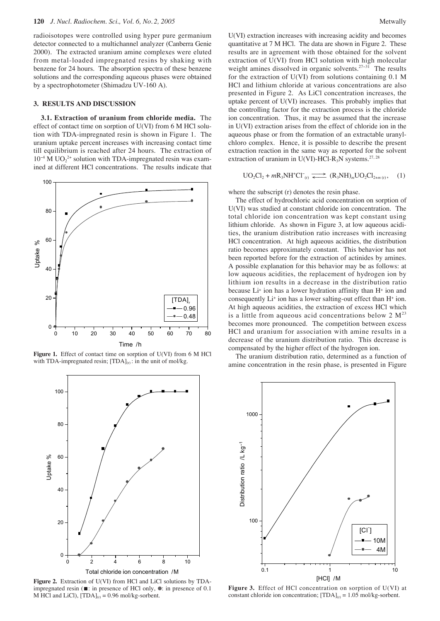radioisotopes were controlled using hyper pure germanium detector connected to a multichannel analyzer (Canberra Genie 2000). The extracted uranium amine complexes were eluted from metal-loaded impregnated resins by shaking with benzene for 24 hours. The absorption spectra of these benzene solutions and the corresponding aqueous phases were obtained by a spectrophotometer (Shimadzu UV-160 A).

#### **3. RESULTS AND DISCUSSION**

**3.1. Extraction of uranium from chloride media.** The effect of contact time on sorption of U(VI) from 6 M HCl solution with TDA-impregnated resin is shown in Figure 1. The uranium uptake percent increases with increasing contact time till equilibrium is reached after 24 hours. The extraction of  $10^{-4}$  M UO<sub>2</sub><sup>2+</sup> solution with TDA-impregnated resin was examined at different HCl concentrations. The results indicate that



Figure 1. Effect of contact time on sorption of U(VI) from 6 M HCl with TDA-impregnated resin;  $[TDA]_{(r)}$ : in the unit of mol/kg.



**Figure 2.** Extraction of U(VI) from HCl and LiCl solutions by TDAimpregnated resin ( $\blacksquare$ : in presence of HCl only,  $\lozenge$ : in presence of 0.1 M HCl and LiCl),  $[TDA]_{(r)} = 0.96$  mol/kg-sorbent.

U(VI) extraction increases with increasing acidity and becomes quantitative at 7 M HCl. The data are shown in Figure 2. These results are in agreement with those obtained for the solvent extraction of U(VI) from HCl solution with high molecular weight amines dissolved in organic solvents.<sup>27–31</sup> The results for the extraction of U(VI) from solutions containing 0.1 M HCl and lithium chloride at various concentrations are also presented in Figure 2. As LiCl concentration increases, the uptake percent of U(VI) increases. This probably implies that the controlling factor for the extraction process is the chloride ion concentration. Thus, it may be assumed that the increase in U(VI) extraction arises from the effect of chloride ion in the aqueous phase or from the formation of an extractable uranylchloro complex. Hence, it is possible to describe the present extraction reaction in the same way as reported for the solvent extraction of uranium in U(VI)-HCl-R<sub>3</sub>N systems.<sup>27, 28</sup>

$$
UO_2Cl_2 + mR_3NH^+Cl^-_{(r)} \xrightarrow{\longrightarrow} (R_3NH)_m UO_2Cl_{2+m(r)}, \quad (1)
$$

where the subscript (r) denotes the resin phase.

The effect of hydrochloric acid concentration on sorption of U(VI) was studied at constant chloride ion concentration. The total chloride ion concentration was kept constant using lithium chloride. As shown in Figure 3, at low aqueous acidities, the uranium distribution ratio increases with increasing HCl concentration. At high aqueous acidities, the distribution ratio becomes approximately constant. This behavior has not been reported before for the extraction of actinides by amines. A possible explanation for this behavior may be as follows: at low aqueous acidities, the replacement of hydrogen ion by lithium ion results in a decrease in the distribution ratio because Li+ ion has a lower hydration affinity than H+ ion and consequently Li+ ion has a lower salting-out effect than H+ ion. At high aqueous acidities, the extraction of excess HCl which is a little from aqueous acid concentrations below  $2 M^{23}$ becomes more pronounced. The competition between excess HCl and uranium for association with amine results in a decrease of the uranium distribution ratio. This decrease is compensated by the higher effect of the hydrogen ion.

The uranium distribution ratio, determined as a function of amine concentration in the resin phase, is presented in Figure



**Figure 3.** Effect of HCl concentration on sorption of U(VI) at constant chloride ion concentration;  $[TDA]_{(r)} = 1.05$  mol/kg-sorbent.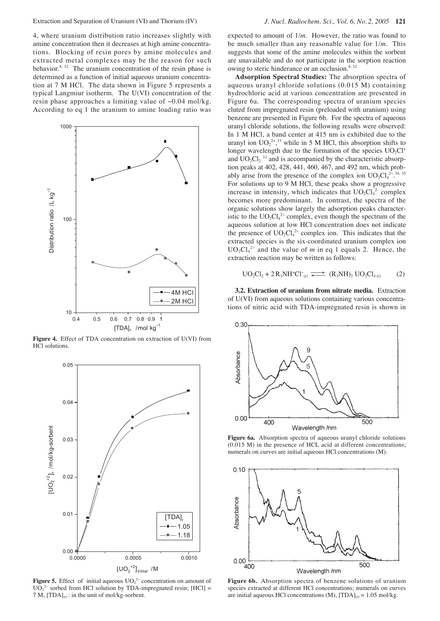4, where uranium distribution ratio increases slightly with amine concentration then it decreases at high amine concentrations. Blocking of resin pores by amine molecules and extracted metal complexes may be the reason for such behavior. $8, 32$  The uranium concentration of the resin phase is determined as a function of initial aqueous uranium concentration at 7 M HCl. The data shown in Figure 5 represents a typical Langmiur isotherm. The U(VI) concentration of the resin phase approaches a limiting value of  $\sim 0.04$  mol/kg. According to eq 1 the uranium to amine loading ratio was



**Figure 4.** Effect of TDA concentration on extraction of U(VI) from HCl solutions.



**Figure 5.** Effect of initial aqueous  $UO_2^{2-}$  concentration on amount of  $UO_2^{2-}$  sorbed from HCl solution by TDA-impregnated resin; [HCl] = 7 M,  $[TDA]_{(r)}$ : in the unit of mol/kg-sorbent.

expected to amount of 1/*m*. However, the ratio was found to be much smaller than any reasonable value for 1/*m*. This suggests that some of the amine molecules within the sorbent are unavailable and do not participate in the sorption reaction owing to steric hinderance or an occlusion.<sup>8, 32</sup>

**Adsorption Spectral Studies:** The absorption spectra of aqueous uranyl chloride solutions (0.015 M) containing hydrochloric acid at various concentration are presented in Figure 6a. The corresponding spectra of uranium species eluted from impregnated resin (preloaded with uranium) using benzene are presented in Figure 6b. For the spectra of aqueous uranyl chloride solutions, the following results were observed: In 1 M HCl, a band center at 415 nm is exhibited due to the uranyl ion  $UO_2^{2+}$ ,<sup>33</sup> while in 5 M HCl, this absorption shifts to longer wavelength due to the formation of the species  $UO<sub>2</sub>Cl<sup>+</sup>$ and  $UO<sub>2</sub>Cl<sub>2</sub>$ <sup>33</sup> and is accompanied by the characteristic absorption peaks at 402, 428, 441, 460, 467, and 492 nm, which probably arise from the presence of the complex ion  $UO_2Cl_4^{2-34,35}$ For solutions up to 9 M HCl, these peaks show a progressive increase in intensity, which indicates that  $UO_2Cl_4^2$  complex becomes more predominant. In contrast, the spectra of the organic solutions show largely the adsorption peaks characteristic to the  $UO_2Cl_4^2$  complex, even though the spectrum of the aqueous solution at low HCl concentration does not indicate the presence of  $UO_2Cl_4^{2-}$  complex ion. This indicates that the extracted species is the six-coordinated uranium complex ion  $UO_2Cl_4^{2-}$  and the value of *m* in eq 1 equals 2. Hence, the extraction reaction may be written as follows:

$$
UO_2Cl_2 + 2 R_3NH^+Cl^-_{(r)} \xrightarrow{\longrightarrow} (R_3NH)_2 UO_2Cl_{4(r)} \qquad (2)
$$

**3.2. Extraction of uranium from nitrate media.** Extraction of U(VI) from aqueous solutions containing various concentrations of nitric acid with TDA-impregnated resin is shown in



**Figure 6a.** Absorption spectra of aqueous uranyl chloride solutions (0.015 M) in the presence of HCL acid at different concentrations; numerals on curves are initial aqueous HCl concentrations (M).



**Figure 6b.** Absorption spectra of benzene solutions of uranium species extracted at different HCl concentrations; numerals on curves are initial aqueous HCl concentrations (M),  $[TDA]_{(r)} = 1.05$  mol/kg.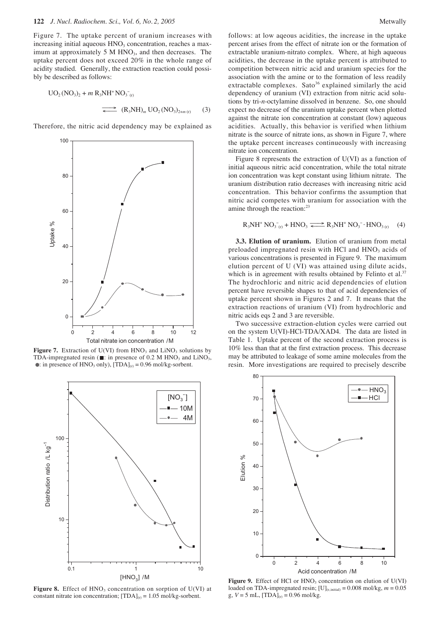Figure 7. The uptake percent of uranium increases with increasing initial aqueous  $HNO<sub>3</sub>$  concentration, reaches a maximum at approximately 5 M  $HNO<sub>3</sub>$ , and then decreases. The uptake percent does not exceed 20% in the whole range of acidity studied. Generally, the extraction reaction could possibly be described as follows:

$$
UO_{2}(NO_{3})_{2} + m R_{3}NH^{+}NO_{3}^{-}(n)
$$
\n
$$
\xrightarrow{\longrightarrow} (R_{3}NH)_{m} UO_{2}(NO_{3})_{2+m}(n)
$$
\n(3)

Therefore, the nitric acid dependency may be explained as



**Figure 7.** Extraction of U(VI) from  $HNO<sub>3</sub>$  and  $LiNO<sub>3</sub>$  solutions by TDA-impregnated resin ( $\blacksquare$ : in presence of 0.2 M HNO<sub>3</sub> and LiNO<sub>3</sub>, • in presence of HNO<sub>3</sub> only),  $[TDA]_{(r)} = 0.96$  mol/kg-sorbent.



**Figure 8.** Effect of  $HNO<sub>3</sub>$  concentration on sorption of U(VI) at constant nitrate ion concentration;  $[TDA]_{(r)} = 1.05$  mol/kg-sorbent.

follows: at low aqeous acidities, the increase in the uptake percent arises from the effect of nitrate ion or the formation of extractable uranium-nitrato complex. Where, at high aqueous acidities, the decrease in the uptake percent is attributed to competition between nitric acid and uranium species for the association with the amine or to the formation of less readily extractable complexes. Sato<sup>36</sup> explained similarly the acid dependency of uranium (VI) extraction from nitric acid solutions by tri-*n*-octylamine dissolved in benzene. So, one should expect no decrease of the uranium uptake percent when plotted against the nitrate ion concentration at constant (low) aqueous acidities. Actually, this behavior is verified when lithium nitrate is the source of nitrate ions, as shown in Figure 7, where the uptake percent increases continueously with increasing nitrate ion concentration.

Figure 8 represents the extraction of U(VI) as a function of initial aqueous nitric acid concentration, while the total nitrate ion concentration was kept constant using lithium nitrate. The uranium distribution ratio decreases with increasing nitric acid concentration. This behavior confirms the assumption that nitric acid competes with uranium for association with the amine through the reaction:<sup>23</sup>

$$
R_3NH^+NO_3^-{}_{(r)} + HNO_3 \xrightarrow{\longrightarrow} R_3NH^+ NO_3^- \cdot HNO_{3(r)} \quad (4)
$$

**3.3. Elution of uranium.** Elution of uranium from metal preloaded impregnated resin with HCl and  $HNO<sub>3</sub>$  acids of various concentrations is presented in Figure 9. The maximum elution percent of U (VI) was attained using dilute acids, which is in agreement with results obtained by Felinto et al.<sup>37</sup> The hydrochloric and nitric acid dependencies of elution percent have reversible shapes to that of acid dependencies of uptake percent shown in Figures 2 and 7. It means that the extraction reactions of uranium (VI) from hydrochloric and nitric acids eqs 2 and 3 are reversible.

Two successive extraction-elution cycles were carried out on the system U(VI)-HCl-TDA/XAD4. The data are listed in Table 1. Uptake percent of the second extraction process is 10% less than that at the first extraction process. This decrease may be attributed to leakage of some amine molecules from the resin. More investigations are required to precisely describe



Figure 9. Effect of HCl or HNO<sub>3</sub> concentration on elution of U(VI) loaded on TDA-impregnated resin;  $[U]_{(r,\text{initial})} = 0.008 \text{ mol/kg}, m = 0.05$ g,  $V = 5$  mL,  $[TDA]_{(r)} = 0.96$  mol/kg.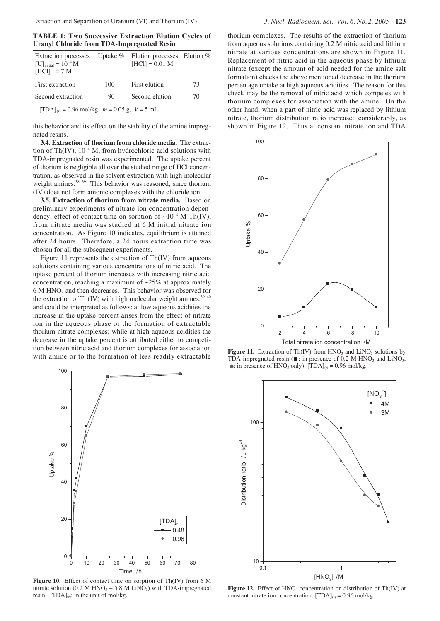**TABLE 1: Two Successive Extraction Elution Cycles of Uranyl Chloride from TDA-Impregnated Resin**

| <b>Extraction</b> processes<br>$[U]_{initial} = 10^{-4} M$<br>$[HC1] = 7 M$ |     | Uptake $\%$ Elution processes Elution $\%$<br>$[HC1] = 0.01 M$ |    |
|-----------------------------------------------------------------------------|-----|----------------------------------------------------------------|----|
| First extraction                                                            | 100 | First elution                                                  | 73 |
| Second extraction                                                           | 90  | Second elution                                                 | 70 |
| $[TDA] = 0.96$ mol/kg $m = 0.05$ g $V = 5$ mJ                               |     |                                                                |    |

 $[TDA]_{(r)} = 0.96$  mol/kg,  $m = 0.05$  g,  $V = 5$  mL.

this behavior and its effect on the stability of the amine impregnated resins.

**3.4. Extraction of thorium from chloride media.** The extraction of Th(IV),  $10^{-4}$  M, from hydrochloric acid solutions with TDA-impregnated resin was experimented. The uptake percent of thorium is negligible all over the studied range of HCl concentration, as observed in the solvent extraction with high molecular weight amines.<sup>38, 39</sup> This behavior was reasoned, since thorium (IV) does not form anionic complexes with the chloride ion.

**3.5. Extraction of thorium from nitrate media.** Based on preliminary experiments of nitrate ion concentration dependency, effect of contact time on sorption of  $\sim 10^{-4}$  M Th(IV), from nitrate media was studied at 6 M initial nitrate ion concentration. As Figure 10 indicates, equilibrium is attained after 24 hours. Therefore, a 24 hours extraction time was chosen for all the subsequent experiments.

Figure 11 represents the extraction of Th(IV) from aqueous solutions containing various concentrations of nitric acid. The uptake percent of thorium increases with increasing nitric acid concentration, reaching a maximum of ~25% at approximately 6 M HNO3 and then decreases. This behavior was observed for the extraction of Th(IV) with high molecular weight amines. $39,40$ and could be interpreted as follows: at low aqueous acidities the increase in the uptake percent arises from the effect of nitrate ion in the aqueous phase or the formation of extractable thorium nitrate complexes; while at high aqueous acidities the decrease in the uptake percent is attributed either to competition between nitric acid and thorium complexes for association with amine or to the formation of less readily extractable



**Figure 10.** Effect of contact time on sorption of Th(IV) from 6 M nitrate solution (0.2 M HNO<sub>3</sub> + 5.8 M LiNO<sub>3</sub>) with TDA-impregnated resin;  $[TDA]_{(r)}$ : in the unit of mol/kg.

thorium complexes. The results of the extraction of thorium from aqueous solutions containing 0.2 M nitric acid and lithium nitrate at various concentrations are shown in Figure 11. Replacement of nitric acid in the aqueous phase by lithium nitrate (except the amount of acid needed for the amine salt formation) checks the above mentioned decrease in the thorium percentage uptake at high aqueous acidities. The reason for this check may be the removal of nitric acid which competes with thorium complexes for association with the amine. On the other hand, when a part of nitric acid was replaced by lithium nitrate, thorium distribution ratio increased considerably, as shown in Figure 12. Thus at constant nitrate ion and TDA



**Figure 11.** Extraction of Th(IV) from  $HNO<sub>3</sub>$  and  $LiNO<sub>3</sub>$  solutions by TDA-impregnated resin ( $\blacksquare$ : in presence of 0.2 M HNO<sub>3</sub> and LiNO<sub>3</sub>, • : in presence of HNO<sub>3</sub> only);  $[TDA]_{(r)} = 0.96$  mol/kg.



**Figure 12.** Effect of  $HNO<sub>3</sub>$  concentration on distribution of Th(IV) at constant nitrate ion concentration;  $[TDA]_{(r)} = 0.96$  mol/kg.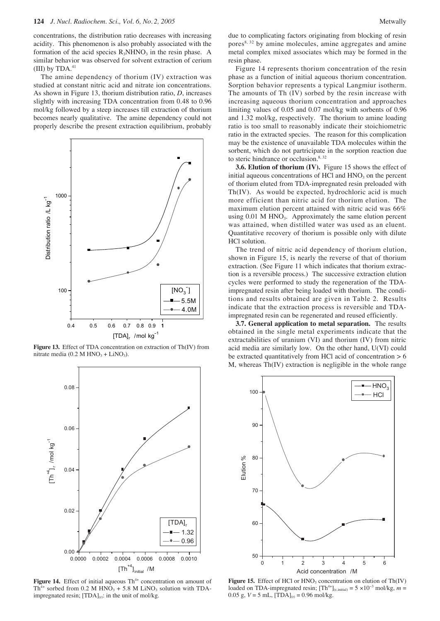concentrations, the distribution ratio decreases with increasing acidity. This phenomenon is also probably associated with the formation of the acid species  $R_3NHNO_3$  in the resin phase. A similar behavior was observed for solvent extraction of cerium  $(III)$  by TDA. $41$ 

The amine dependency of thorium (IV) extraction was studied at constant nitric acid and nitrate ion concentrations. As shown in Figure 13, thorium distribution ratio, *D*, increases slightly with increasing TDA concentration from 0.48 to 0.96 mol/kg followed by a steep increases till extraction of thorium becomes nearly qualitative. The amine dependency could not properly describe the present extraction equilibrium, probably



**Figure 13.** Effect of TDA concentration on extraction of Th(IV) from nitrate media  $(0.2 M HNO<sub>3</sub> + LiNO<sub>3</sub>)$ .



Figure 14. Effect of initial aqueous Th<sup>4+</sup> concentration on amount of  $Th^{4+}$  sorbed from 0.2 M HNO<sub>3</sub> + 5.8 M LiNO<sub>3</sub> solution with TDAimpregnated resin;  $[TDA]_{(r)}$ : in the unit of mol/kg.

due to complicating factors originating from blocking of resin pores<sup>8, 32</sup> by amine molecules, amine aggregates and amine metal complex mixed associates which may be formed in the resin phase.

Figure 14 represents thorium concentration of the resin phase as a function of initial aqueous thorium concentration. Sorption behavior represents a typical Langmiur isotherm. The amounts of Th (IV) sorbed by the resin increase with increasing aqueous thorium concentration and approaches limiting values of 0.05 and 0.07 mol/kg with sorbents of 0.96 and 1.32 mol/kg, respectively. The thorium to amine loading ratio is too small to reasonably indicate their stoichiometric ratio in the extracted species. The reason for this complication may be the existence of unavailable TDA molecules within the sorbent, which do not partricipate in the sorption reaction due to steric hindrance or occlusion. $8, 32$ 

**3.6. Elution of thorium (IV).** Figure 15 shows the effect of initial aqueous concentrations of HCl and  $HNO<sub>3</sub>$  on the percent of thorium eluted from TDA-impregnated resin preloaded with Th(IV). As would be expected, hydrochloric acid is much more efficient than nitric acid for thorium elution. The maximum elution percent attained with nitric acid was 66% using  $0.01$  M HNO<sub>3</sub>. Approximately the same elution percent was attained, when distilled water was used as an eluent. Quantitative recovery of thorium is possible only with dilute HCl solution.

The trend of nitric acid dependency of thorium elution, shown in Figure 15, is nearly the reverse of that of thorium extraction. (See Figure 11 which indicates that thorium extraction is a reversible process.) The successive extraction elution cycles were performed to study the regeneration of the TDAimpregnated resin after being loaded with thorium. The conditions and results obtained are given in Table 2. Results indicate that the extraction process is reversible and TDAimpregnated resin can be regenerated and reused efficiently.

**3.7. General application to metal separation.** The results obtained in the single metal experiments indicate that the extractabilities of uranium (VI) and thorium (IV) from nitric acid media are similarly low. On the other hand, U(VI) could be extracted quantitatively from HCl acid of concentration  $> 6$ M, whereas Th(IV) extraction is negligible in the whole range



Figure 15. Effect of HCl or HNO<sub>3</sub> concentration on elution of Th(IV) loaded on TDA-impregnated resin;  $[Th<sup>4+</sup>]_{(r,initial)} = 5 \times 10^{-3}$  mol/kg,  $m =$ 0.05 g,  $V = 5$  mL,  $[TDA]_{(r)} = 0.96$  mol/kg.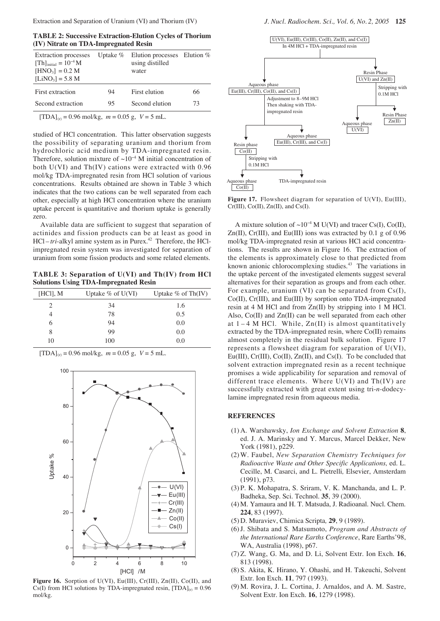**TABLE 2: Successive Extraction-Elution Cycles of Thorium (IV) Nitrate on TDA-Impregnated Resin**

| <b>Extraction</b> processes<br>$[Th]_{initial} = 10^{-4} M$<br>$[HNO_3] = 0.2 M$<br>$[LiNO_3] = 5.8 M$ | Uptake $%$ | Elution processes Elution $%$<br>using distilled<br>water |    |
|--------------------------------------------------------------------------------------------------------|------------|-----------------------------------------------------------|----|
| First extraction                                                                                       | 94         | First elution                                             | 66 |
| Second extraction                                                                                      | 95         | Second elution                                            | 73 |

 $[TDA]_{(r)} = 0.96$  mol/kg,  $m = 0.05$  g,  $V = 5$  mL.

studied of HCl concentration. This latter observation suggests the possibility of separating uranium and thorium from hydrochloric acid medium by TDA-impregnated resin. Therefore, solution mixture of  $\sim 10^{-4}$  M initial concentration of both U(VI) and Th(IV) cations were extracted with 0.96 mol/kg TDA-impregnated resin from HCl solution of various concentrations. Results obtained are shown in Table 3 which indicates that the two cations can be well separated from each other, especially at high HCl concentration where the uranium uptake percent is quantitative and thorium uptake is generally zero.

Available data are sufficient to suggest that separation of actinides and fission products can be at least as good in HCl-tri-alkyl amine system as in Purex.<sup>42</sup> Therefore, the HClimpregnated resin system was investigated for separation of uranium from some fission products and some related elements.

**TABLE 3: Separation of U(VI) and Th(IV) from HCl Solutions Using TDA-Impregnated Resin**

| [HC1], M | Uptake $\%$ of U(VI) | Uptake $%$ of Th(IV) |
|----------|----------------------|----------------------|
|          | 34                   | 1.6                  |
|          | 78                   | 0.5                  |
| 6        | 94                   | 0.0                  |
| 8        | 99                   | 0.0                  |
| 10       | 100                  | 0.0                  |

 $[TDA]_{(r)} = 0.96$  mol/kg,  $m = 0.05$  g,  $V = 5$  mL.



**Figure 16.** Sorption of U(VI), Eu(III), Cr(III), Zn(II), Co(II), and Cs(I) from HCl solutions by TDA-impregnated resin,  $[TDA]_{(r)} = 0.96$ mol/kg.



**Figure 17.** Flowsheet diagram for separation of U(VI), Eu(III), Cr(III), Co(II), Zn(II), and Cs(I).

A mixture solution of ~10<sup>-4</sup> M U(VI) and tracer Cs(I), Co(II),  $Zn(II)$ ,  $Cr(III)$ , and  $Eu(III)$  ions was extracted by 0.1 g of 0.96 mol/kg TDA-impregnated resin at various HCl acid concentrations. The results are shown in Figure 16. The extraction of the elements is approximately close to that predicted from known anionic chlorocomplexing studies.<sup>43</sup> The variations in the uptake percent of the investigated elements suggest several alternatives for their separation as groups and from each other. For example, uranium (VI) can be separated from Cs(I), Co(II), Cr(III), and Eu(III) by sorption onto TDA-impregnated resin at 4 M HCl and from Zn(II) by stripping into 1 M HCl. Also, Co(II) and Zn(II) can be well separated from each other at  $1-4$  M HCl. While,  $Zn(II)$  is almost quantitatively extracted by the TDA-impregnated resin, where Co(II) remains almost completely in the residual bulk solution. Figure 17 represents a flowsheet diagram for separation of U(VI), Eu(III), Cr(III), Co(II), Zn(II), and Cs(I). To be concluded that solvent extraction impregnated resin as a recent technique promises a wide applicability for separation and removal of different trace elements. Where U(VI) and Th(IV) are successfully extracted with great extent using tri-*n*-dodecylamine impregnated resin from aqueous media.

#### **REFERENCES**

- (1) A. Warshawsky, *Ion Exchange and Solvent Extraction* **8**, ed. J. A. Marinsky and Y. Marcus, Marcel Dekker, New York (1981), p229.
- (2)W. Faubel, *New Separation Chemistry Techniques for Radioactive Waste and Other Specific Applications,* ed. L. Cecille, M. Casarci, and L. Pietrelli*,* Elsevier, Amsterdam (1991), p73.
- (3) P. K. Mohapatra, S. Sriram, V. K. Manchanda, and L. P. Badheka, Sep. Sci. Technol. **35**, 39 (2000).
- (4) M. Yamaura and H. T. Matsuda, J. Radioanal. Nucl. Chem. **224**, 83 (1997).
- (5) D. Muraviev, Chimica Scripta*,* **29**, 9 (1989).
- (6)J. Shibata and S. Matsumoto, *Program and Abstracts of the International Rare Earths Conference*, Rare Earths'98, WA, Australia (1998), p67.
- (7)Z. Wang, G. Ma, and D. Li, Solvent Extr. Ion Exch. **16**, 813 (1998).
- (8) S. Akita, K. Hirano, Y. Ohashi, and H. Takeuchi, Solvent Extr. Ion Exch. **11**, 797 (1993).
- (9) M. Rovira, J. L. Cortina, J. Arnaldos, and A. M. Sastre, Solvent Extr. Ion Exch. **16**, 1279 (1998).